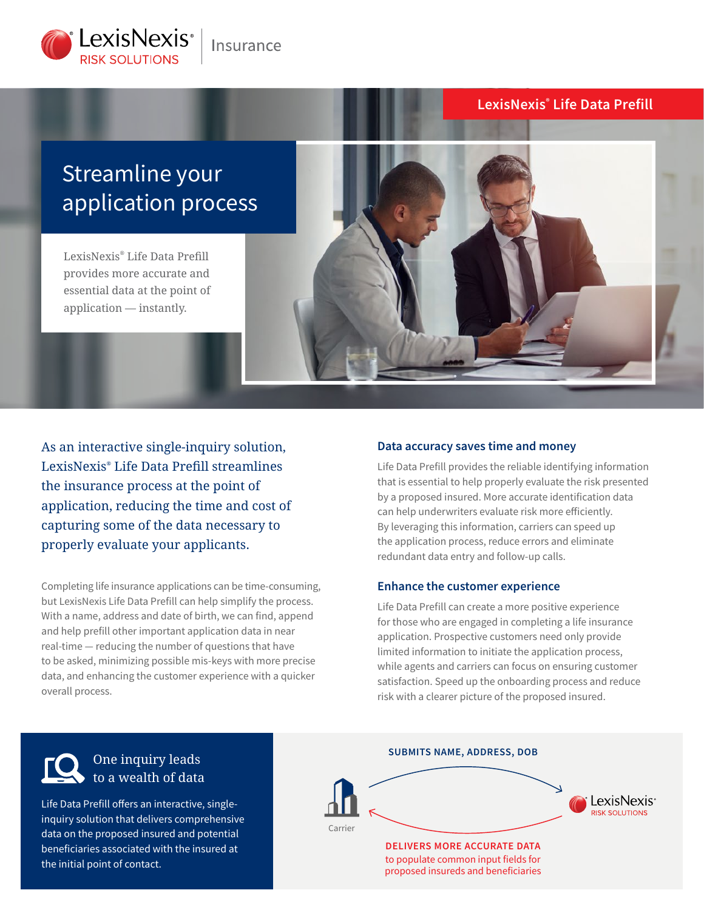

# **LexisNexis® Life Data Prefill**

# Streamline your application process

LexisNexis® Life Data Prefill provides more accurate and essential data at the point of application — instantly.



As an interactive single-inquiry solution, LexisNexis® Life Data Prefill streamlines the insurance process at the point of application, reducing the time and cost of capturing some of the data necessary to properly evaluate your applicants.

Completing life insurance applications can be time-consuming, but LexisNexis Life Data Prefill can help simplify the process. With a name, address and date of birth, we can find, append and help prefill other important application data in near real-time — reducing the number of questions that have to be asked, minimizing possible mis-keys with more precise data, and enhancing the customer experience with a quicker overall process.

#### **Data accuracy saves time and money**

Life Data Prefill provides the reliable identifying information that is essential to help properly evaluate the risk presented by a proposed insured. More accurate identification data can help underwriters evaluate risk more efficiently. By leveraging this information, carriers can speed up the application process, reduce errors and eliminate redundant data entry and follow-up calls.

#### **Enhance the customer experience**

Life Data Prefill can create a more positive experience for those who are engaged in completing a life insurance application. Prospective customers need only provide limited information to initiate the application process, while agents and carriers can focus on ensuring customer satisfaction. Speed up the onboarding process and reduce risk with a clearer picture of the proposed insured.

# One inquiry leads to a wealth of data

Life Data Prefill offers an interactive, singleinquiry solution that delivers comprehensive data on the proposed insured and potential beneficiaries associated with the insured at the initial point of contact.

#### **SUBMITS NAME, ADDRESS, DOB**



to populate common input fields for proposed insureds and beneficiaries